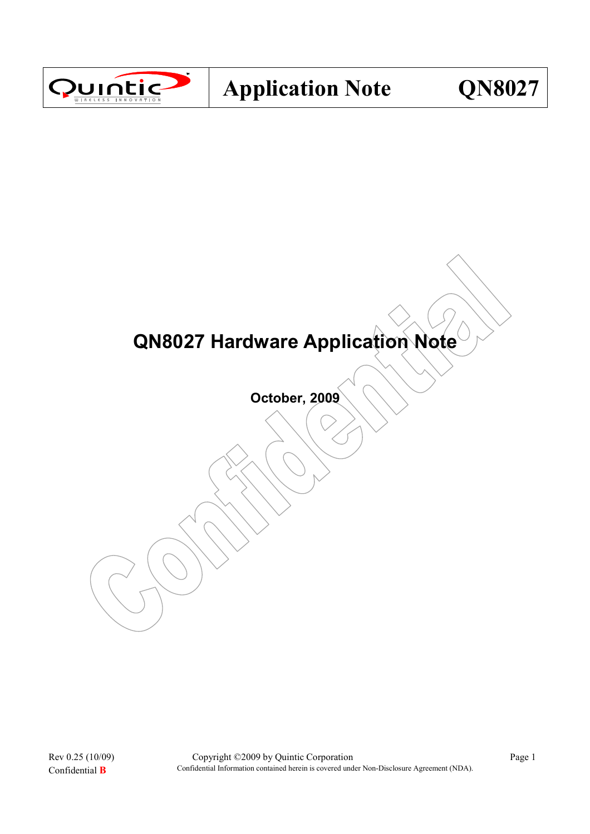

# QN8027 Hardware Application Note

October, 2009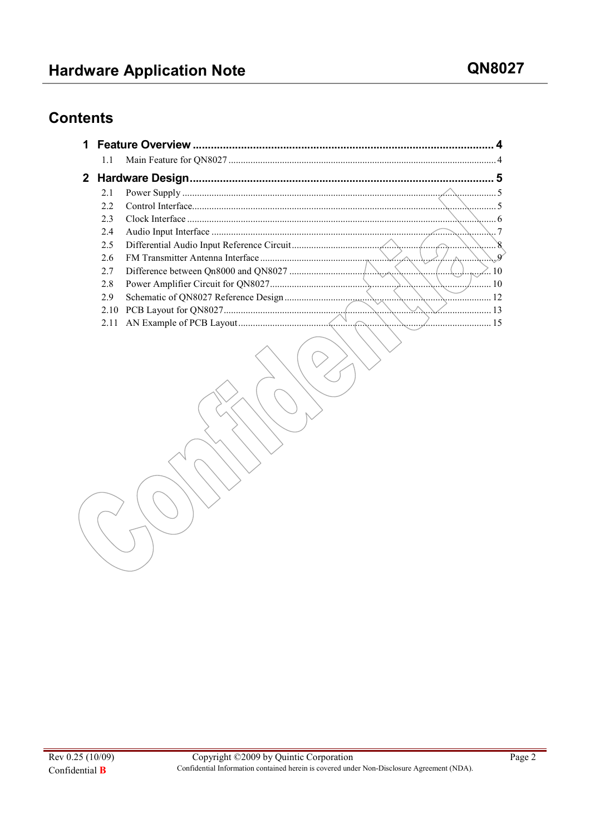# **Contents**

| 1.1  |                   |          |  |  |
|------|-------------------|----------|--|--|
|      | 2 Hardware Design | 5        |  |  |
| 2.1  |                   |          |  |  |
| 22   |                   |          |  |  |
| 2.3  |                   |          |  |  |
| 2.4  |                   |          |  |  |
| 2.5  |                   | X.       |  |  |
| 2.6  |                   | $\alpha$ |  |  |
| 2.7  |                   | 10       |  |  |
| 2.8  |                   | 10       |  |  |
| 2.9  |                   | 12       |  |  |
| 2.10 |                   | 13       |  |  |
| 2.11 |                   | 15       |  |  |
|      |                   |          |  |  |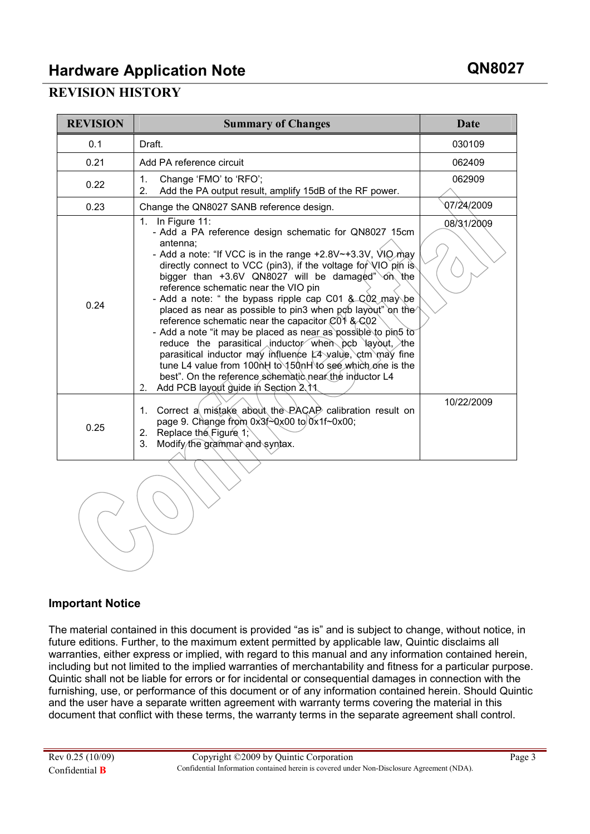# Hardware Application Note **Government CONS027**

#### REVISION HISTORY

| <b>REVISION</b> | <b>Summary of Changes</b>                                                                                                                                                                                                                                                                                                                                                                                                                                                                                                                                                                                                                                                                                                                                                                                                                                                     | Date       |
|-----------------|-------------------------------------------------------------------------------------------------------------------------------------------------------------------------------------------------------------------------------------------------------------------------------------------------------------------------------------------------------------------------------------------------------------------------------------------------------------------------------------------------------------------------------------------------------------------------------------------------------------------------------------------------------------------------------------------------------------------------------------------------------------------------------------------------------------------------------------------------------------------------------|------------|
| 0.1             | Draft.                                                                                                                                                                                                                                                                                                                                                                                                                                                                                                                                                                                                                                                                                                                                                                                                                                                                        | 030109     |
| 0.21            | Add PA reference circuit                                                                                                                                                                                                                                                                                                                                                                                                                                                                                                                                                                                                                                                                                                                                                                                                                                                      | 062409     |
| 0.22            | $1_{\cdot}$<br>Change 'FMO' to 'RFO';<br>2.<br>Add the PA output result, amplify 15dB of the RF power.                                                                                                                                                                                                                                                                                                                                                                                                                                                                                                                                                                                                                                                                                                                                                                        | 062909     |
| 0.23            | Change the QN8027 SANB reference design.                                                                                                                                                                                                                                                                                                                                                                                                                                                                                                                                                                                                                                                                                                                                                                                                                                      | 07/24/2009 |
| 0.24            | 1. In Figure 11:<br>- Add a PA reference design schematic for QN8027 15cm<br>antenna:<br>- Add a note: "If VCC is in the range $+2.8V$ $\rightarrow$ 3.3V, VIO may<br>directly connect to VCC (pin3), if the voltage for VIO pin is<br>bigger than +3.6V QN8027 will be damaged" on the<br>reference schematic near the VIO pin<br>- Add a note: " the bypass ripple cap C01 & $\sim$ C02 may be<br>placed as near as possible to pin3 when pob layout" on the<br>reference schematic near the capacitor C01 & C02<br>- Add a note "it may be placed as near as possible to pin5 to<br>reduce the parasitical inductor when pcb layout, the<br>parasitical inductor may influence L4 yalue, ctm may fine<br>tune L4 value from 100nH to 150nH to see which one is the<br>best". On the reference schematic near the inductor L4<br>Add PCB layout guide in Section 2.11<br>2. | 08/31/2009 |
| 0.25            | Correct a mistake about the PACAP calibration result on<br>1.<br>page 9. Change from $0x3f^2Qx00$ to $0x1f^2Qx00$ ;<br>Replace the Figure 1;<br>2.<br>Modify the grammar and syntax.<br>3.                                                                                                                                                                                                                                                                                                                                                                                                                                                                                                                                                                                                                                                                                    | 10/22/2009 |

#### Important Notice

The material contained in this document is provided "as is" and is subject to change, without notice, in future editions. Further, to the maximum extent permitted by applicable law, Quintic disclaims all warranties, either express or implied, with regard to this manual and any information contained herein, including but not limited to the implied warranties of merchantability and fitness for a particular purpose. Quintic shall not be liable for errors or for incidental or consequential damages in connection with the furnishing, use, or performance of this document or of any information contained herein. Should Quintic and the user have a separate written agreement with warranty terms covering the material in this document that conflict with these terms, the warranty terms in the separate agreement shall control.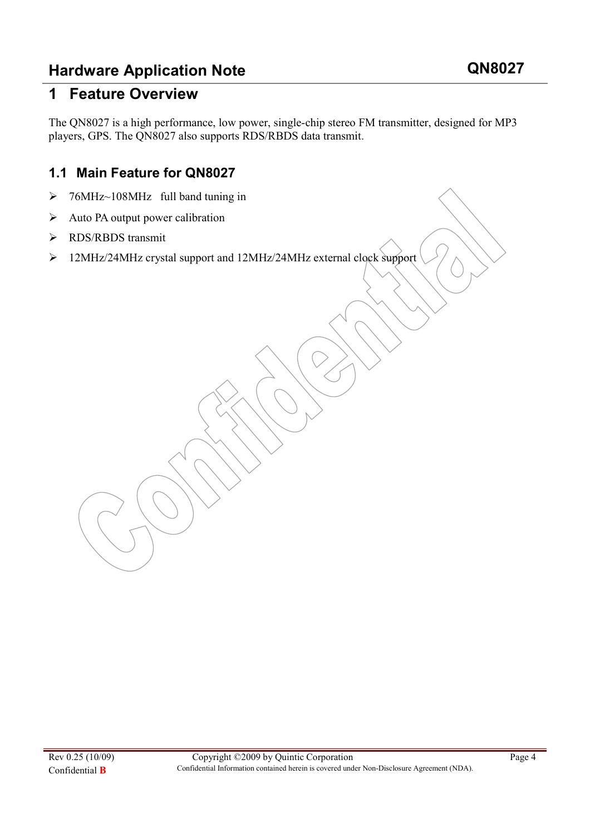### 1 Feature Overview

The QN8027 is a high performance, low power, single-chip stereo FM transmitter, designed for MP3 players, GPS. The QN8027 also supports RDS/RBDS data transmit.

#### 1.1 Main Feature for QN8027

- > 76MHz~108MHz full band tuning in
- $\triangleright$  Auto PA output power calibration
- > RDS/RBDS transmit
- 12MHz/24MHz crystal support and 12MHz/24MHz external clock support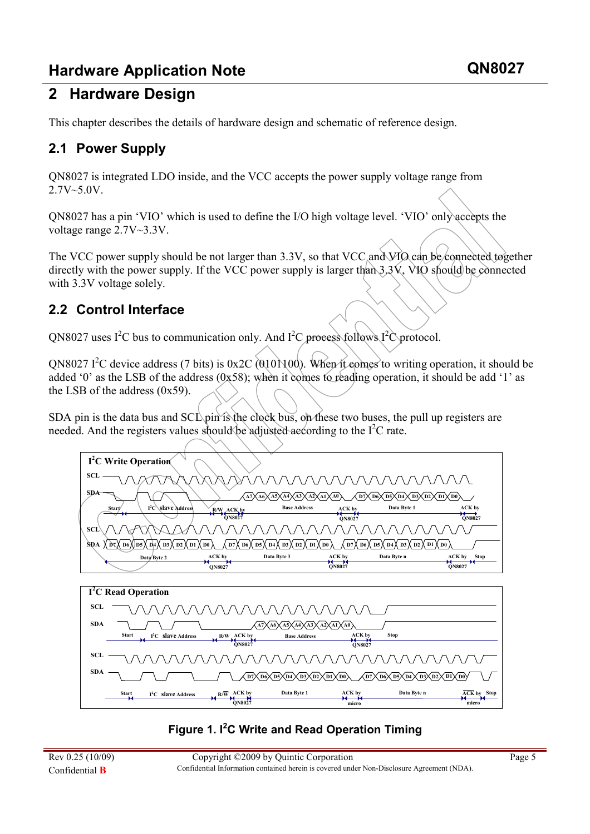# 2 Hardware Design

This chapter describes the details of hardware design and schematic of reference design.

#### 2.1 Power Supply

QN8027 is integrated LDO inside, and the VCC accepts the power supply voltage range from 2.7V~5.0V.

QN8027 has a pin 'VIO' which is used to define the I/O high voltage level. 'VIO' only accepts the voltage range 2.7V~3.3V.

The VCC power supply should be not larger than 3.3V, so that VCC and VIO can be connected to gether directly with the power supply. If the VCC power supply is larger than  $3.3V$ , VIO should be connected with 3.3V voltage solely.

#### 2.2 Control Interface

 $ON8027$  uses I<sup>2</sup>C bus to communication only. And I<sup>2</sup>C process follows I<sup>2</sup>C protocol.

ON8027 I<sup>2</sup>C device address (7 bits) is 0x2C (010)(100). When it comes to writing operation, it should be added '0' as the LSB of the address (0x58); when it comes to reading operation, it should be add '1' as the LSB of the address (0x59).

SDA pin is the data bus and  $SCL$  pin is the clock bus, on these two buses, the pull up registers are needed. And the registers values should be adjusted according to the  $I^2C$  rate.





#### Figure 1.  $I^2C$  Write and Read Operation Timing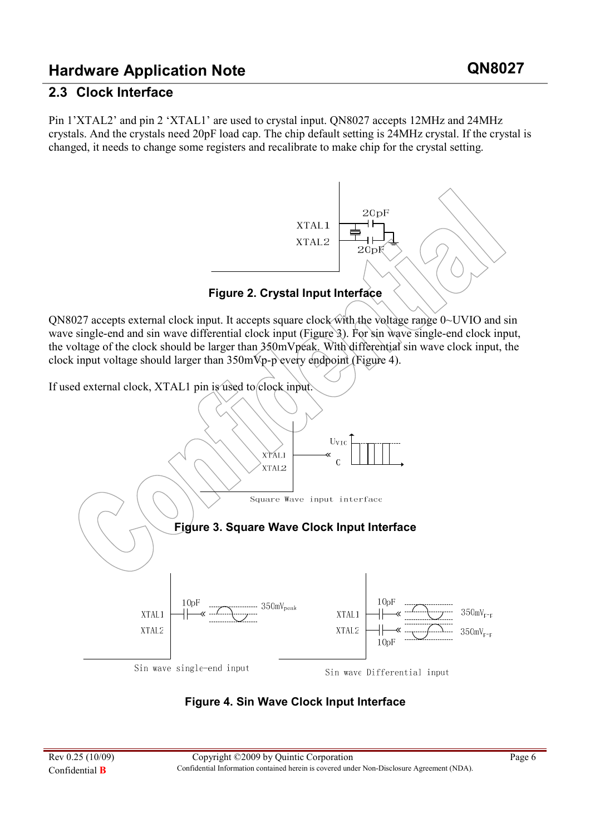#### 2.3 Clock Interface

Pin 1'XTAL2' and pin 2 'XTAL1' are used to crystal input. QN8027 accepts 12MHz and 24MHz crystals. And the crystals need 20pF load cap. The chip default setting is 24MHz crystal. If the crystal is changed, it needs to change some registers and recalibrate to make chip for the crystal setting.



QN8027 accepts external clock input. It accepts square clock with the voltage range 0~UVIO and sin wave single-end and sin wave differential clock input (Figure 3). For sin wave single-end clock input, the voltage of the clock should be larger than 350mVpeak. With differential sin wave clock input, the clock input voltage should larger than 350mVp-p every endpoint (Figure 4).



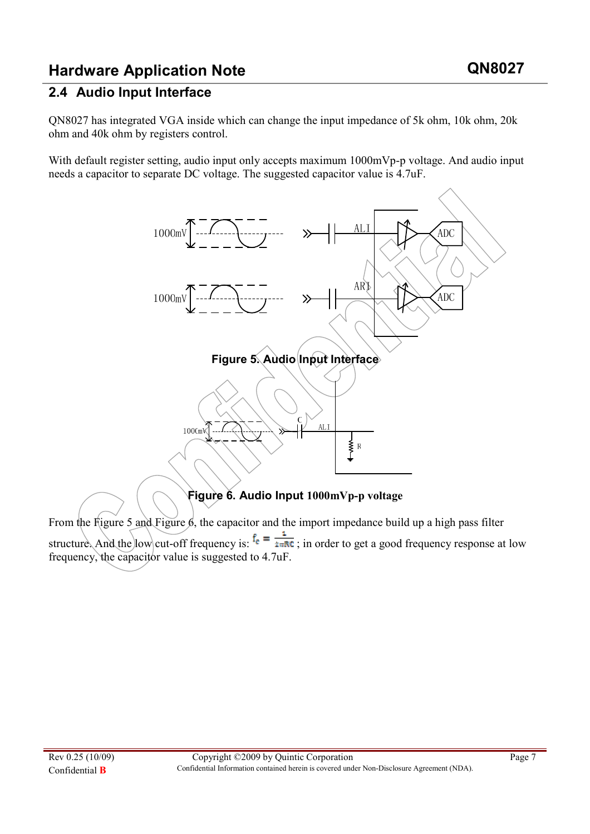#### 2.4 Audio Input Interface

QN8027 has integrated VGA inside which can change the input impedance of 5k ohm, 10k ohm, 20k ohm and 40k ohm by registers control.

With default register setting, audio input only accepts maximum 1000mVp-p voltage. And audio input needs a capacitor to separate DC voltage. The suggested capacitor value is 4.7uF.



From the Figure 5 and Figure  $\beta$ , the capacitor and the import impedance build up a high pass filter structure. And the low cut-off frequency is:  $f_e = \frac{1}{2\pi RC}$ ; in order to get a good frequency response at low frequency, the capacitor value is suggested to 4.7uF.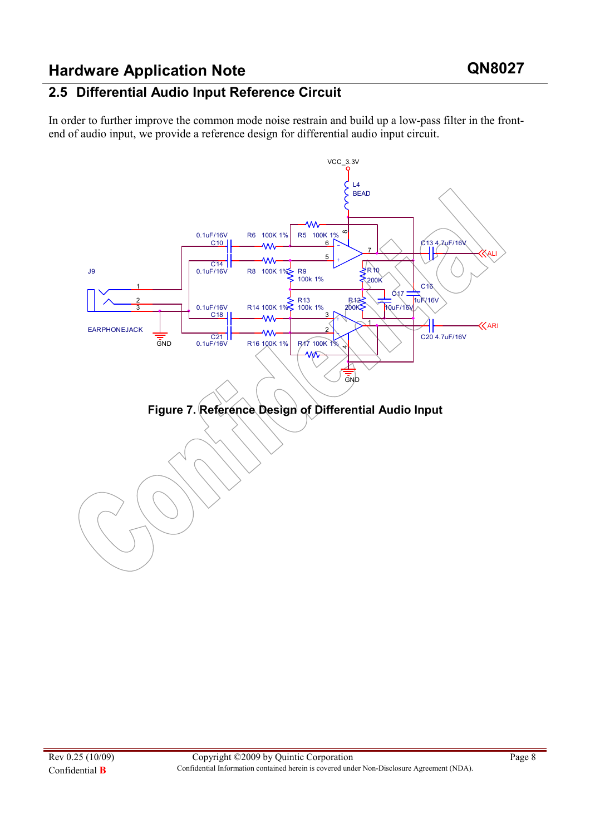#### 2.5 Differential Audio Input Reference Circuit

In order to further improve the common mode noise restrain and build up a low-pass filter in the frontend of audio input, we provide a reference design for differential audio input circuit.

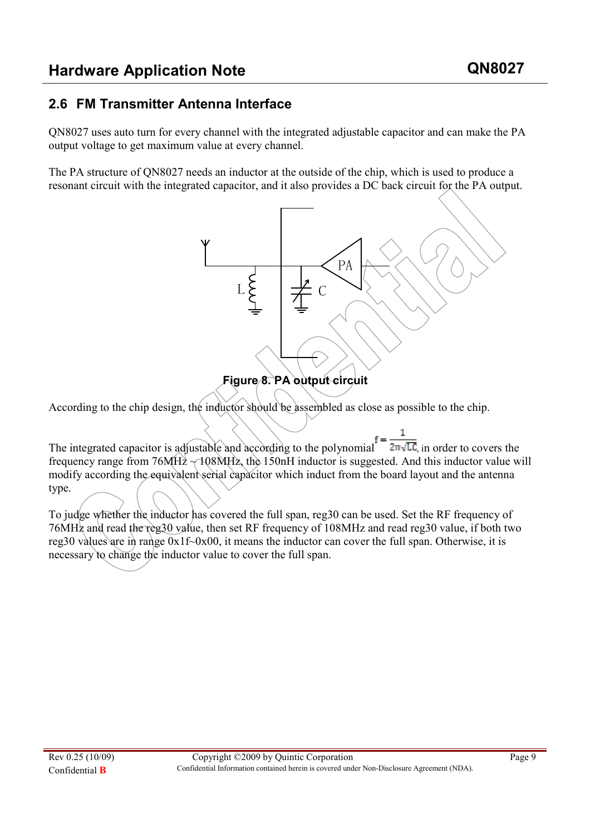#### 2.6 FM Transmitter Antenna Interface

QN8027 uses auto turn for every channel with the integrated adjustable capacitor and can make the PA output voltage to get maximum value at every channel.

The PA structure of QN8027 needs an inductor at the outside of the chip, which is used to produce a resonant circuit with the integrated capacitor, and it also provides a DC back circuit for the PA output.



According to the chip design, the inductor should be assembled as close as possible to the chip.

1 The integrated capacitor is adjustable and according to the polynomial  $f = \frac{1}{2\pi\sqrt{LC}}$ , in order to covers the frequency range from  $76MH<sub>2</sub> \rightarrow 108MH<sub>2</sub>$ , the 150nH inductor is suggested. And this inductor value will modify according the equivalent serial capacitor which induct from the board layout and the antenna type.

To judge whether the inductor has covered the full span, reg30 can be used. Set the RF frequency of 76MHz and read the reg30 value, then set RF frequency of 108MHz and read reg30 value, if both two reg30 values are in range  $0x1f-\alpha x00$ , it means the inductor can cover the full span. Otherwise, it is necessary to change the inductor value to cover the full span.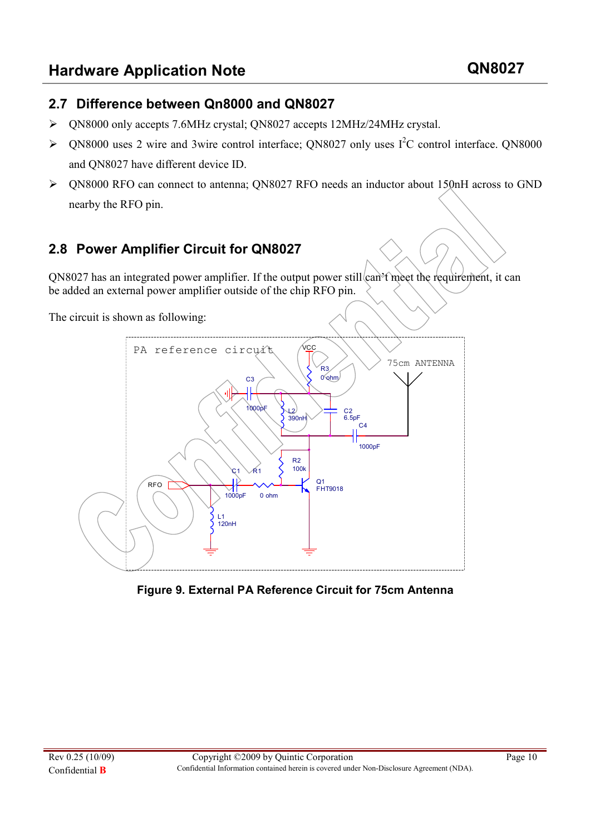#### 2.7 Difference between Qn8000 and QN8027

- QN8000 only accepts 7.6MHz crystal; QN8027 accepts 12MHz/24MHz crystal.
- $\triangleright$  QN8000 uses 2 wire and 3wire control interface; QN8027 only uses I<sup>2</sup>C control interface. QN8000 and QN8027 have different device ID.
- QN8000 RFO can connect to antenna; QN8027 RFO needs an inductor about 150nH across to GND nearby the RFO pin.

#### 2.8 Power Amplifier Circuit for QN8027

QN8027 has an integrated power amplifier. If the output power still can't meet the requirement, it can be added an external power amplifier outside of the chip RFO pin.

The circuit is shown as following:



Figure 9. External PA Reference Circuit for 75cm Antenna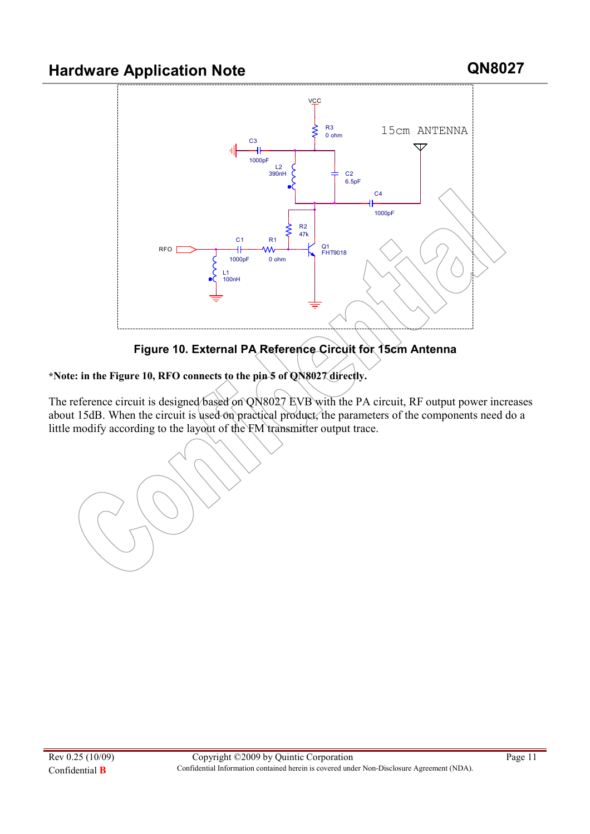

Figure 10. External PA Reference Circuit for 15cm Antenna

\*Note: in the Figure 10, RFO connects to the pin 5 of QN8027 directly.

The reference circuit is designed based on QN8027 EVB with the PA circuit, RF output power increases about 15dB. When the circuit is used on practical product, the parameters of the components need do a little modify according to the layout of the FM transmitter output trace.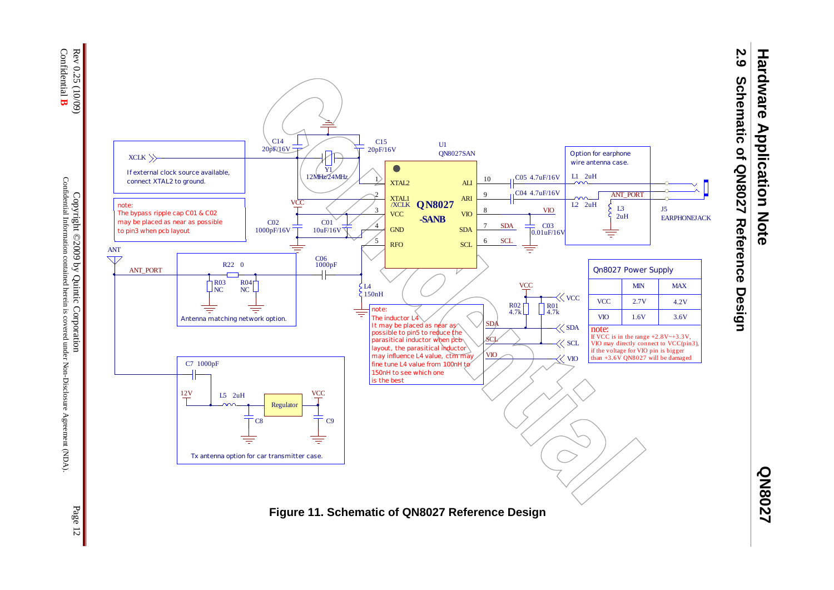

Confidential Information contained herein is covered under Non-Disclosure Agreement (NDA) Confidential Information contained herein is covered under Non-Disclosure Agreement (NDA).

Page 12

**QN8027** 

**Hardware Application Note**

**Hardware Application Note**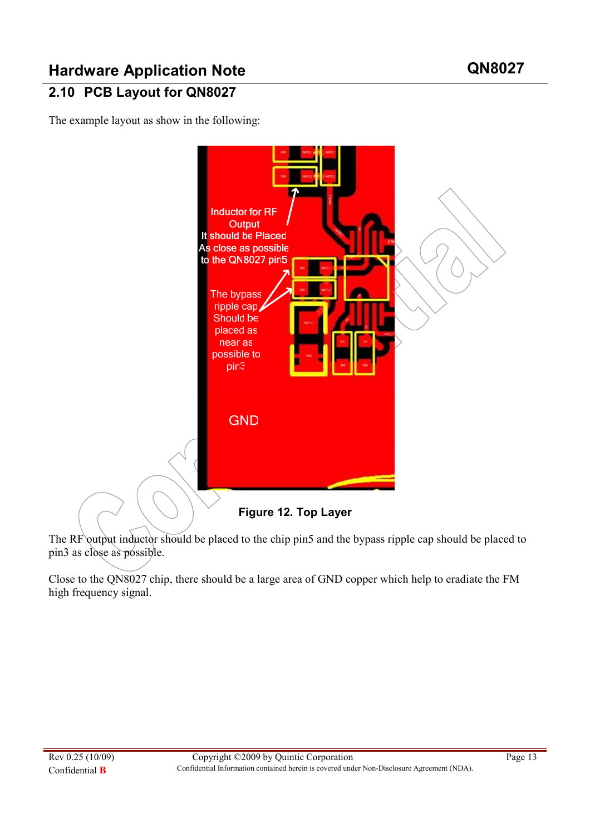# , 2.10 PCB Layout for QN8027

The example layout as show in the following:



The RF output inductor should be placed to the chip pin5 and the bypass ripple cap should be placed to pin3 as close as possible.

Close to the QN8027 chip, there should be a large area of GND copper which help to eradiate the FM high frequency signal.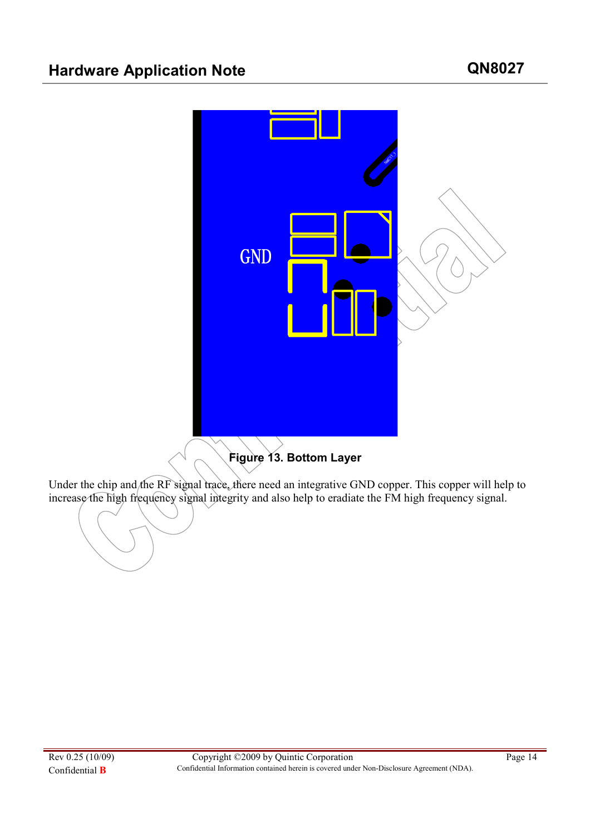

Under the chip and the RF signal trace, there need an integrative GND copper. This copper will help to increase the high frequency signal integrity and also help to eradiate the FM high frequency signal.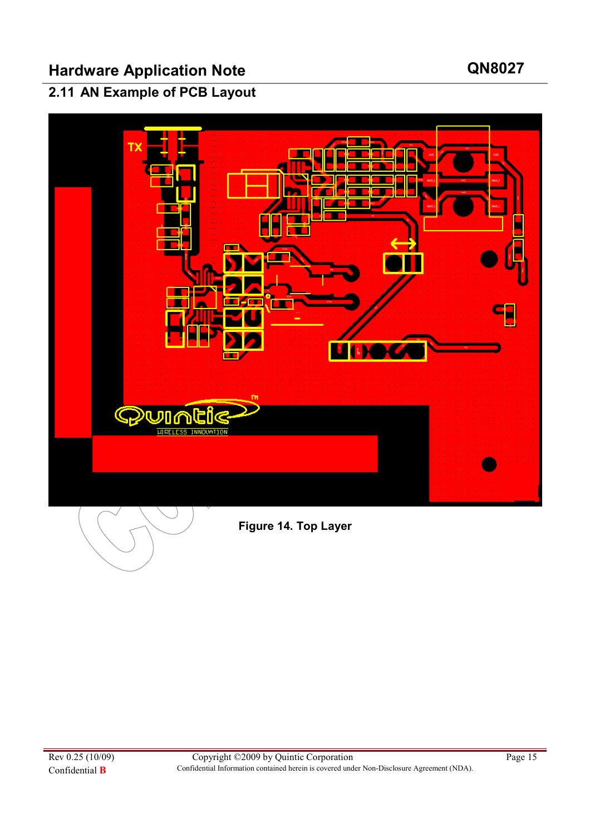### 2.11 AN Example of PCB Layout



Figure 14. Top Layer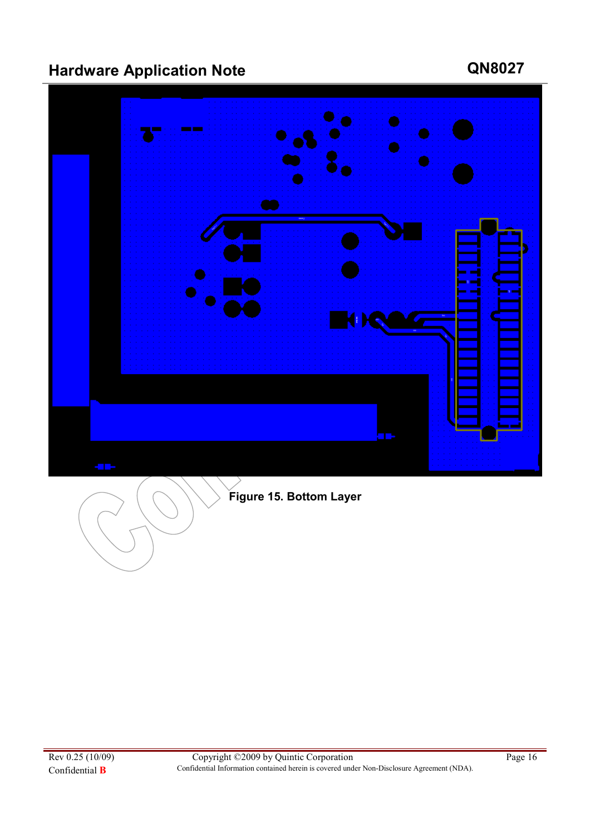

# Figure 15. Bottom Layer